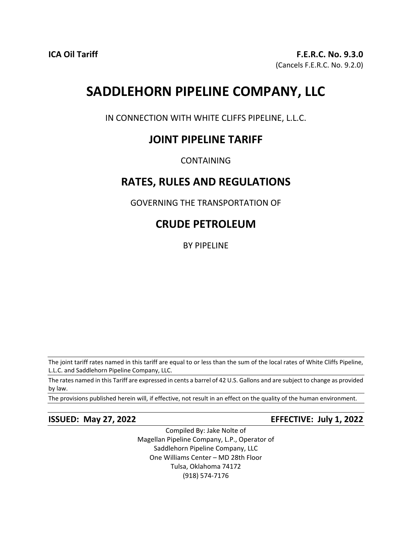# **SADDLEHORN PIPELINE COMPANY, LLC**

IN CONNECTION WITH WHITE CLIFFS PIPELINE, L.L.C.

# **JOINT PIPELINE TARIFF**

CONTAINING

# **RATES, RULES AND REGULATIONS**

GOVERNING THE TRANSPORTATION OF

# **CRUDE PETROLEUM**

BY PIPELINE

The joint tariff rates named in this tariff are equal to or less than the sum of the local rates of White Cliffs Pipeline, L.L.C. and Saddlehorn Pipeline Company, LLC.

The rates named in this Tariff are expressed in cents a barrel of 42 U.S. Gallons and are subject to change as provided by law.

The provisions published herein will, if effective, not result in an effect on the quality of the human environment.

**ISSUED: May 27, 2022 EFFECTIVE: July 1, 2022** 

Compiled By: Jake Nolte of Magellan Pipeline Company, L.P., Operator of Saddlehorn Pipeline Company, LLC One Williams Center – MD 28th Floor Tulsa, Oklahoma 74172 (918) 574-7176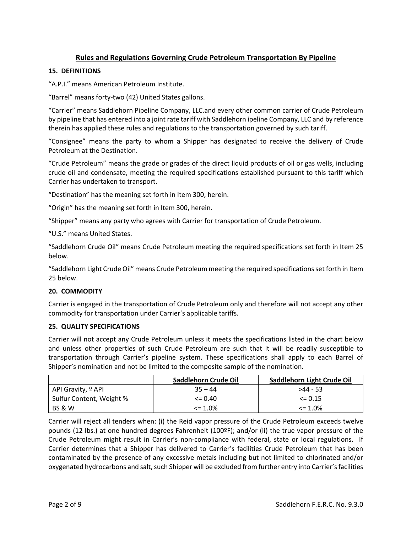# **Rules and Regulations Governing Crude Petroleum Transportation By Pipeline**

### **15. DEFINITIONS**

"A.P.I." means American Petroleum Institute.

"Barrel" means forty-two (42) United States gallons.

"Carrier" means Saddlehorn Pipeline Company, LLC.and every other common carrier of Crude Petroleum by pipeline that has entered into a joint rate tariff with Saddlehorn ipeline Company, LLC and by reference therein has applied these rules and regulations to the transportation governed by such tariff.

"Consignee" means the party to whom a Shipper has designated to receive the delivery of Crude Petroleum at the Destination.

"Crude Petroleum" means the grade or grades of the direct liquid products of oil or gas wells, including crude oil and condensate, meeting the required specifications established pursuant to this tariff which Carrier has undertaken to transport.

"Destination" has the meaning set forth in Item 300, herein.

"Origin" has the meaning set forth in Item 300, herein.

"Shipper" means any party who agrees with Carrier for transportation of Crude Petroleum.

"U.S." means United States.

"Saddlehorn Crude Oil" means Crude Petroleum meeting the required specifications set forth in Item 25 below.

"Saddlehorn Light Crude Oil" means Crude Petroleum meeting the required specifications set forth in Item 25 below.

#### **20. COMMODITY**

Carrier is engaged in the transportation of Crude Petroleum only and therefore will not accept any other commodity for transportation under Carrier's applicable tariffs.

#### **25. QUALITY SPECIFICATIONS**

Carrier will not accept any Crude Petroleum unless it meets the specifications listed in the chart below and unless other properties of such Crude Petroleum are such that it will be readily susceptible to transportation through Carrier's pipeline system. These specifications shall apply to each Barrel of Shipper's nomination and not be limited to the composite sample of the nomination.

|                               | Saddlehorn Crude Oil | Saddlehorn Light Crude Oil |  |
|-------------------------------|----------------------|----------------------------|--|
| API Gravity, <sup>o</sup> API | $35 - 44$            | $>44 - 53$                 |  |
| Sulfur Content, Weight %      | $\leq$ 0.40          | $\leq$ 0.15                |  |
| <b>BS &amp; W</b>             | $\leq$ 1.0%          | $\leq 1.0\%$               |  |

Carrier will reject all tenders when: (i) the Reid vapor pressure of the Crude Petroleum exceeds twelve pounds (12 lbs.) at one hundred degrees Fahrenheit (100ºF); and/or (ii) the true vapor pressure of the Crude Petroleum might result in Carrier's non-compliance with federal, state or local regulations. If Carrier determines that a Shipper has delivered to Carrier's facilities Crude Petroleum that has been contaminated by the presence of any excessive metals including but not limited to chlorinated and/or oxygenated hydrocarbons and salt, such Shipper will be excluded from further entry into Carrier's facilities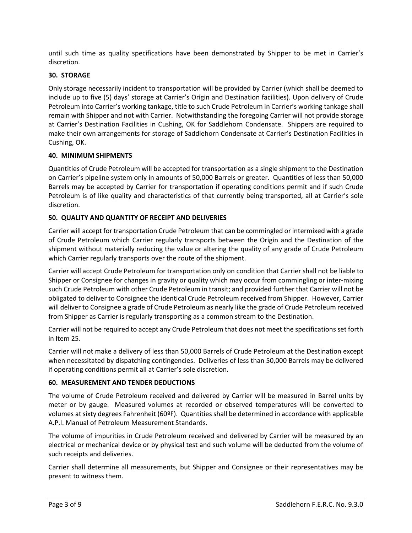until such time as quality specifications have been demonstrated by Shipper to be met in Carrier's discretion.

# **30. STORAGE**

Only storage necessarily incident to transportation will be provided by Carrier (which shall be deemed to include up to five (5) days' storage at Carrier's Origin and Destination facilities). Upon delivery of Crude Petroleum into Carrier's working tankage, title to such Crude Petroleum in Carrier's working tankage shall remain with Shipper and not with Carrier. Notwithstanding the foregoing Carrier will not provide storage at Carrier's Destination Facilities in Cushing, OK for Saddlehorn Condensate. Shippers are required to make their own arrangements for storage of Saddlehorn Condensate at Carrier's Destination Facilities in Cushing, OK.

#### **40. MINIMUM SHIPMENTS**

Quantities of Crude Petroleum will be accepted for transportation as a single shipment to the Destination on Carrier's pipeline system only in amounts of 50,000 Barrels or greater. Quantities of less than 50,000 Barrels may be accepted by Carrier for transportation if operating conditions permit and if such Crude Petroleum is of like quality and characteristics of that currently being transported, all at Carrier's sole discretion.

### **50. QUALITY AND QUANTITY OF RECEIPT AND DELIVERIES**

Carrier will accept for transportation Crude Petroleum that can be commingled or intermixed with a grade of Crude Petroleum which Carrier regularly transports between the Origin and the Destination of the shipment without materially reducing the value or altering the quality of any grade of Crude Petroleum which Carrier regularly transports over the route of the shipment.

Carrier will accept Crude Petroleum for transportation only on condition that Carrier shall not be liable to Shipper or Consignee for changes in gravity or quality which may occur from commingling or inter-mixing such Crude Petroleum with other Crude Petroleum in transit; and provided further that Carrier will not be obligated to deliver to Consignee the identical Crude Petroleum received from Shipper. However, Carrier will deliver to Consignee a grade of Crude Petroleum as nearly like the grade of Crude Petroleum received from Shipper as Carrier is regularly transporting as a common stream to the Destination.

Carrier will not be required to accept any Crude Petroleum that does not meet the specifications set forth in Item 25.

Carrier will not make a delivery of less than 50,000 Barrels of Crude Petroleum at the Destination except when necessitated by dispatching contingencies. Deliveries of less than 50,000 Barrels may be delivered if operating conditions permit all at Carrier's sole discretion.

#### **60. MEASUREMENT AND TENDER DEDUCTIONS**

The volume of Crude Petroleum received and delivered by Carrier will be measured in Barrel units by meter or by gauge. Measured volumes at recorded or observed temperatures will be converted to volumes at sixty degrees Fahrenheit (60ºF). Quantities shall be determined in accordance with applicable A.P.I. Manual of Petroleum Measurement Standards.

The volume of impurities in Crude Petroleum received and delivered by Carrier will be measured by an electrical or mechanical device or by physical test and such volume will be deducted from the volume of such receipts and deliveries.

Carrier shall determine all measurements, but Shipper and Consignee or their representatives may be present to witness them.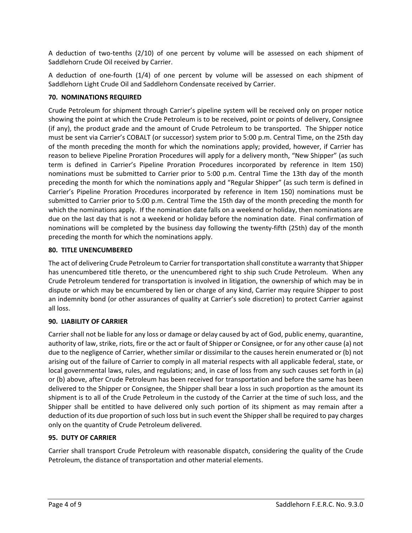A deduction of two-tenths (2/10) of one percent by volume will be assessed on each shipment of Saddlehorn Crude Oil received by Carrier.

A deduction of one-fourth (1/4) of one percent by volume will be assessed on each shipment of Saddlehorn Light Crude Oil and Saddlehorn Condensate received by Carrier.

# **70. NOMINATIONS REQUIRED**

Crude Petroleum for shipment through Carrier's pipeline system will be received only on proper notice showing the point at which the Crude Petroleum is to be received, point or points of delivery, Consignee (if any), the product grade and the amount of Crude Petroleum to be transported. The Shipper notice must be sent via Carrier's COBALT (or successor) system prior to 5:00 p.m. Central Time, on the 25th day of the month preceding the month for which the nominations apply; provided, however, if Carrier has reason to believe Pipeline Proration Procedures will apply for a delivery month, "New Shipper" (as such term is defined in Carrier's Pipeline Proration Procedures incorporated by reference in Item 150) nominations must be submitted to Carrier prior to 5:00 p.m. Central Time the 13th day of the month preceding the month for which the nominations apply and "Regular Shipper" (as such term is defined in Carrier's Pipeline Proration Procedures incorporated by reference in Item 150) nominations must be submitted to Carrier prior to 5:00 p.m. Central Time the 15th day of the month preceding the month for which the nominations apply. If the nomination date falls on a weekend or holiday, then nominations are due on the last day that is not a weekend or holiday before the nomination date. Final confirmation of nominations will be completed by the business day following the twenty-fifth (25th) day of the month preceding the month for which the nominations apply.

# **80. TITLE UNENCUMBERED**

The act of delivering Crude Petroleum to Carrier for transportation shall constitute a warranty that Shipper has unencumbered title thereto, or the unencumbered right to ship such Crude Petroleum. When any Crude Petroleum tendered for transportation is involved in litigation, the ownership of which may be in dispute or which may be encumbered by lien or charge of any kind, Carrier may require Shipper to post an indemnity bond (or other assurances of quality at Carrier's sole discretion) to protect Carrier against all loss.

# **90. LIABILITY OF CARRIER**

Carrier shall not be liable for any loss or damage or delay caused by act of God, public enemy, quarantine, authority of law, strike, riots, fire or the act or fault of Shipper or Consignee, or for any other cause (a) not due to the negligence of Carrier, whether similar or dissimilar to the causes herein enumerated or (b) not arising out of the failure of Carrier to comply in all material respects with all applicable federal, state, or local governmental laws, rules, and regulations; and, in case of loss from any such causes set forth in (a) or (b) above, after Crude Petroleum has been received for transportation and before the same has been delivered to the Shipper or Consignee, the Shipper shall bear a loss in such proportion as the amount its shipment is to all of the Crude Petroleum in the custody of the Carrier at the time of such loss, and the Shipper shall be entitled to have delivered only such portion of its shipment as may remain after a deduction of its due proportion of such loss but in such event the Shipper shall be required to pay charges only on the quantity of Crude Petroleum delivered.

# **95. DUTY OF CARRIER**

Carrier shall transport Crude Petroleum with reasonable dispatch, considering the quality of the Crude Petroleum, the distance of transportation and other material elements.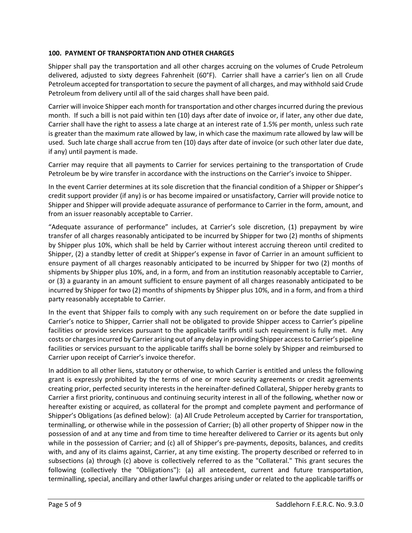# **100. PAYMENT OF TRANSPORTATION AND OTHER CHARGES**

Shipper shall pay the transportation and all other charges accruing on the volumes of Crude Petroleum delivered, adjusted to sixty degrees Fahrenheit (60°F). Carrier shall have a carrier's lien on all Crude Petroleum accepted for transportation to secure the payment of all charges, and may withhold said Crude Petroleum from delivery until all of the said charges shall have been paid.

Carrier will invoice Shipper each month for transportation and other charges incurred during the previous month. If such a bill is not paid within ten (10) days after date of invoice or, if later, any other due date, Carrier shall have the right to assess a late charge at an interest rate of 1.5% per month, unless such rate is greater than the maximum rate allowed by law, in which case the maximum rate allowed by law will be used. Such late charge shall accrue from ten (10) days after date of invoice (or such other later due date, if any) until payment is made.

Carrier may require that all payments to Carrier for services pertaining to the transportation of Crude Petroleum be by wire transfer in accordance with the instructions on the Carrier's invoice to Shipper.

In the event Carrier determines at its sole discretion that the financial condition of a Shipper or Shipper's credit support provider (if any) is or has become impaired or unsatisfactory, Carrier will provide notice to Shipper and Shipper will provide adequate assurance of performance to Carrier in the form, amount, and from an issuer reasonably acceptable to Carrier.

"Adequate assurance of performance" includes, at Carrier's sole discretion, (1) prepayment by wire transfer of all charges reasonably anticipated to be incurred by Shipper for two (2) months of shipments by Shipper plus 10%, which shall be held by Carrier without interest accruing thereon until credited to Shipper, (2) a standby letter of credit at Shipper's expense in favor of Carrier in an amount sufficient to ensure payment of all charges reasonably anticipated to be incurred by Shipper for two (2) months of shipments by Shipper plus 10%, and, in a form, and from an institution reasonably acceptable to Carrier, or (3) a guaranty in an amount sufficient to ensure payment of all charges reasonably anticipated to be incurred by Shipper for two (2) months of shipments by Shipper plus 10%, and in a form, and from a third party reasonably acceptable to Carrier.

In the event that Shipper fails to comply with any such requirement on or before the date supplied in Carrier's notice to Shipper, Carrier shall not be obligated to provide Shipper access to Carrier's pipeline facilities or provide services pursuant to the applicable tariffs until such requirement is fully met. Any costs or charges incurred by Carrier arising out of any delay in providing Shipper access to Carrier's pipeline facilities or services pursuant to the applicable tariffs shall be borne solely by Shipper and reimbursed to Carrier upon receipt of Carrier's invoice therefor.

In addition to all other liens, statutory or otherwise, to which Carrier is entitled and unless the following grant is expressly prohibited by the terms of one or more security agreements or credit agreements creating prior, perfected security interests in the hereinafter-defined Collateral, Shipper hereby grants to Carrier a first priority, continuous and continuing security interest in all of the following, whether now or hereafter existing or acquired, as collateral for the prompt and complete payment and performance of Shipper's Obligations (as defined below): (a) All Crude Petroleum accepted by Carrier for transportation, terminalling, or otherwise while in the possession of Carrier; (b) all other property of Shipper now in the possession of and at any time and from time to time hereafter delivered to Carrier or its agents but only while in the possession of Carrier; and (c) all of Shipper's pre-payments, deposits, balances, and credits with, and any of its claims against, Carrier, at any time existing. The property described or referred to in subsections (a) through (c) above is collectively referred to as the "Collateral." This grant secures the following (collectively the "Obligations"): (a) all antecedent, current and future transportation, terminalling, special, ancillary and other lawful charges arising under or related to the applicable tariffs or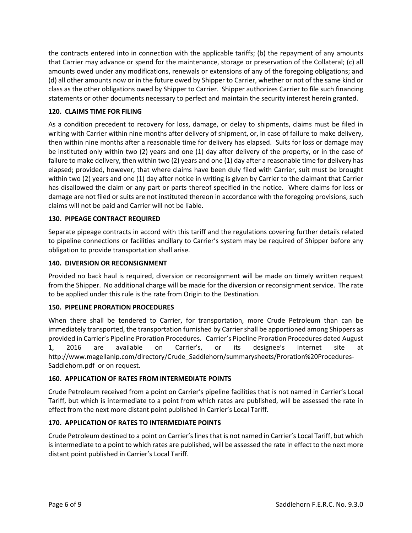the contracts entered into in connection with the applicable tariffs; (b) the repayment of any amounts that Carrier may advance or spend for the maintenance, storage or preservation of the Collateral; (c) all amounts owed under any modifications, renewals or extensions of any of the foregoing obligations; and (d) all other amounts now or in the future owed by Shipper to Carrier, whether or not of the same kind or class as the other obligations owed by Shipper to Carrier. Shipper authorizes Carrier to file such financing statements or other documents necessary to perfect and maintain the security interest herein granted.

# **120. CLAIMS TIME FOR FILING**

As a condition precedent to recovery for loss, damage, or delay to shipments, claims must be filed in writing with Carrier within nine months after delivery of shipment, or, in case of failure to make delivery, then within nine months after a reasonable time for delivery has elapsed. Suits for loss or damage may be instituted only within two (2) years and one (1) day after delivery of the property, or in the case of failure to make delivery, then within two (2) years and one (1) day after a reasonable time for delivery has elapsed; provided, however, that where claims have been duly filed with Carrier, suit must be brought within two (2) years and one (1) day after notice in writing is given by Carrier to the claimant that Carrier has disallowed the claim or any part or parts thereof specified in the notice. Where claims for loss or damage are not filed or suits are not instituted thereon in accordance with the foregoing provisions, such claims will not be paid and Carrier will not be liable.

# **130. PIPEAGE CONTRACT REQUIRED**

Separate pipeage contracts in accord with this tariff and the regulations covering further details related to pipeline connections or facilities ancillary to Carrier's system may be required of Shipper before any obligation to provide transportation shall arise.

### **140. DIVERSION OR RECONSIGNMENT**

Provided no back haul is required, diversion or reconsignment will be made on timely written request from the Shipper. No additional charge will be made for the diversion or reconsignment service. The rate to be applied under this rule is the rate from Origin to the Destination.

#### **150. PIPELINE PRORATION PROCEDURES**

When there shall be tendered to Carrier, for transportation, more Crude Petroleum than can be immediately transported, the transportation furnished by Carrier shall be apportioned among Shippers as provided in Carrier's Pipeline Proration Procedures. Carrier's Pipeline Proration Procedures dated August 1, 2016 are available on Carrier's, or its designee's Internet site at http://www.magellanlp.com/directory/Crude\_Saddlehorn/summarysheets/Proration%20Procedures-Saddlehorn.pdf or on request.

#### **160. APPLICATION OF RATES FROM INTERMEDIATE POINTS**

Crude Petroleum received from a point on Carrier's pipeline facilities that is not named in Carrier's Local Tariff, but which is intermediate to a point from which rates are published, will be assessed the rate in effect from the next more distant point published in Carrier's Local Tariff.

# **170. APPLICATION OF RATES TO INTERMEDIATE POINTS**

Crude Petroleum destined to a point on Carrier's lines that is not named in Carrier's Local Tariff, but which is intermediate to a point to which rates are published, will be assessed the rate in effect to the next more distant point published in Carrier's Local Tariff.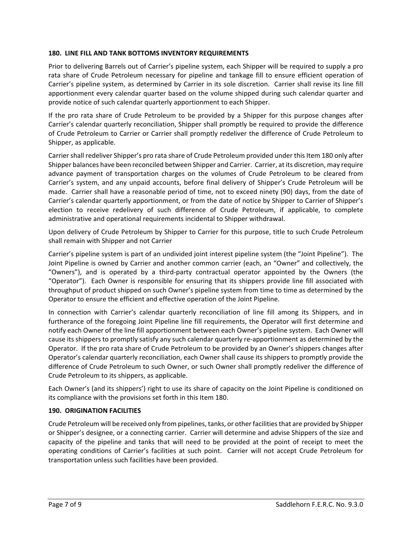### **180. LINE FILL AND TANK BOTTOMS INVENTORY REQUIREMENTS**

Prior to delivering Barrels out of Carrier's pipeline system, each Shipper will be required to supply a pro rata share of Crude Petroleum necessary for pipeline and tankage fill to ensure efficient operation of Carrier's pipeline system, as determined by Carrier in its sole discretion. Carrier shall revise its line fill apportionment every calendar quarter based on the volume shipped during such calendar quarter and provide notice of such calendar quarterly apportionment to each Shipper.

If the pro rata share of Crude Petroleum to be provided by a Shipper for this purpose changes after Carrier's calendar quarterly reconciliation, Shipper shall promptly be required to provide the difference of Crude Petroleum to Carrier or Carrier shall promptly redeliver the difference of Crude Petroleum to Shipper, as applicable.

Carrier shall redeliver Shipper's pro rata share of Crude Petroleum provided under this Item 180 only after Shipper balances have been reconciled between Shipper and Carrier. Carrier, at its discretion, may require advance payment of transportation charges on the volumes of Crude Petroleum to be cleared from Carrier's system, and any unpaid accounts, before final delivery of Shipper's Crude Petroleum will be made. Carrier shall have a reasonable period of time, not to exceed ninety (90) days, from the date of Carrier's calendar quarterly apportionment, or from the date of notice by Shipper to Carrier of Shipper's election to receive redelivery of such difference of Crude Petroleum, if applicable, to complete administrative and operational requirements incidental to Shipper withdrawal.

Upon delivery of Crude Petroleum by Shipper to Carrier for this purpose, title to such Crude Petroleum shall remain with Shipper and not Carrier

Carrier's pipeline system is part of an undivided joint interest pipeline system (the "Joint Pipeline"). The Joint Pipeline is owned by Carrier and another common carrier (each, an "Owner" and collectively, the "Owners"), and is operated by a third-party contractual operator appointed by the Owners (the "Operator"). Each Owner is responsible for ensuring that its shippers provide line fill associated with throughput of product shipped on such Owner's pipeline system from time to time as determined by the Operator to ensure the efficient and effective operation of the Joint Pipeline.

In connection with Carrier's calendar quarterly reconciliation of line fill among its Shippers, and in furtherance of the foregoing Joint Pipeline line fill requirements, the Operator will first determine and notify each Owner of the line fill apportionment between each Owner's pipeline system. Each Owner will cause its shippers to promptly satisfy any such calendar quarterly re-apportionment as determined by the Operator. If the pro rata share of Crude Petroleum to be provided by an Owner's shippers changes after Operator's calendar quarterly reconciliation, each Owner shall cause its shippers to promptly provide the difference of Crude Petroleum to such Owner, or such Owner shall promptly redeliver the difference of Crude Petroleum to its shippers, as applicable.

Each Owner's (and its shippers') right to use its share of capacity on the Joint Pipeline is conditioned on its compliance with the provisions set forth in this Item 180.

#### **190. ORIGINATION FACILITIES**

Crude Petroleum will be received only from pipelines, tanks, or other facilities that are provided by Shipper or Shipper's designee, or a connecting carrier. Carrier will determine and advise Shippers of the size and capacity of the pipeline and tanks that will need to be provided at the point of receipt to meet the operating conditions of Carrier's facilities at such point. Carrier will not accept Crude Petroleum for transportation unless such facilities have been provided.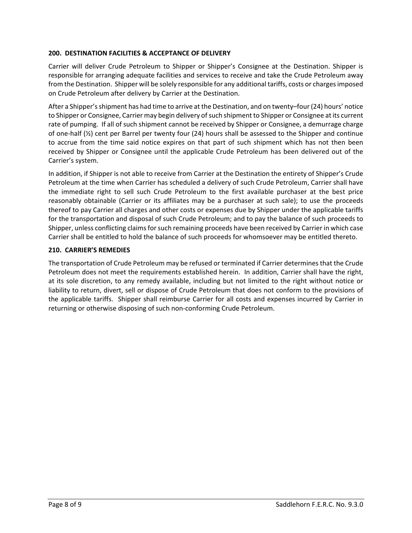## **200. DESTINATION FACILITIES & ACCEPTANCE OF DELIVERY**

Carrier will deliver Crude Petroleum to Shipper or Shipper's Consignee at the Destination. Shipper is responsible for arranging adequate facilities and services to receive and take the Crude Petroleum away from the Destination. Shipper will be solely responsible for any additional tariffs, costs or charges imposed on Crude Petroleum after delivery by Carrier at the Destination.

After a Shipper's shipment has had time to arrive at the Destination, and on twenty–four (24) hours' notice to Shipper or Consignee, Carrier may begin delivery of such shipment to Shipper or Consignee at its current rate of pumping. If all of such shipment cannot be received by Shipper or Consignee, a demurrage charge of one-half (½) cent per Barrel per twenty four (24) hours shall be assessed to the Shipper and continue to accrue from the time said notice expires on that part of such shipment which has not then been received by Shipper or Consignee until the applicable Crude Petroleum has been delivered out of the Carrier's system.

In addition, if Shipper is not able to receive from Carrier at the Destination the entirety of Shipper's Crude Petroleum at the time when Carrier has scheduled a delivery of such Crude Petroleum, Carrier shall have the immediate right to sell such Crude Petroleum to the first available purchaser at the best price reasonably obtainable (Carrier or its affiliates may be a purchaser at such sale); to use the proceeds thereof to pay Carrier all charges and other costs or expenses due by Shipper under the applicable tariffs for the transportation and disposal of such Crude Petroleum; and to pay the balance of such proceeds to Shipper, unless conflicting claims for such remaining proceeds have been received by Carrier in which case Carrier shall be entitled to hold the balance of such proceeds for whomsoever may be entitled thereto.

### **210. CARRIER'S REMEDIES**

The transportation of Crude Petroleum may be refused or terminated if Carrier determines that the Crude Petroleum does not meet the requirements established herein. In addition, Carrier shall have the right, at its sole discretion, to any remedy available, including but not limited to the right without notice or liability to return, divert, sell or dispose of Crude Petroleum that does not conform to the provisions of the applicable tariffs. Shipper shall reimburse Carrier for all costs and expenses incurred by Carrier in returning or otherwise disposing of such non-conforming Crude Petroleum.